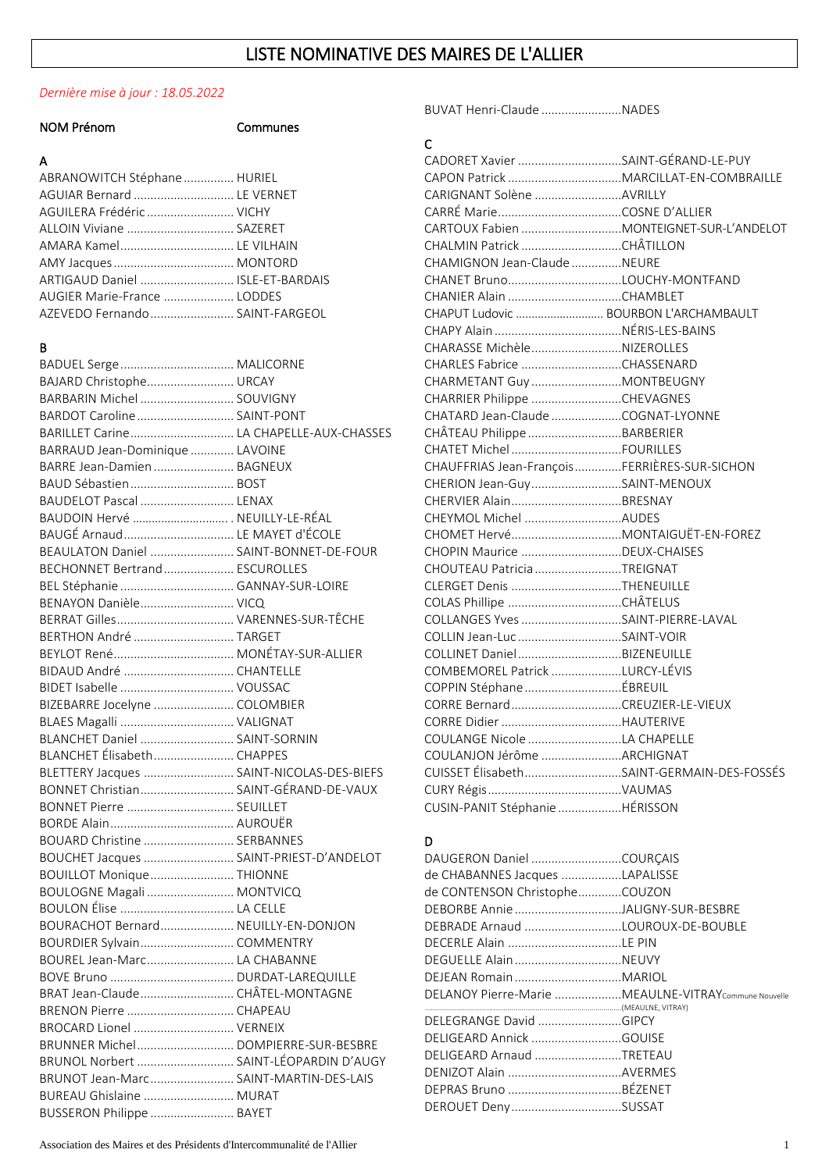# LISTE NOMINATIVE DES MAIRES DE L'ALLIER

#### *Dernière mise à jour : 18.05.2022*

|                                           |          | BUVAT Henri-Claude NADES                             |  |
|-------------------------------------------|----------|------------------------------------------------------|--|
| <b>NOM Prénom</b>                         | Communes |                                                      |  |
|                                           |          | $\mathsf{C}$                                         |  |
| A                                         |          | CADORET Xavier SAINT-GÉRAND-LE-PUY                   |  |
| ABRANOWITCH Stéphane  HURIEL              |          |                                                      |  |
| AGUIAR Bernard  LE VERNET                 |          | CARIGNANT Solène AVRILLY                             |  |
| AGUILERA Frédéric  VICHY                  |          |                                                      |  |
| ALLOIN Viviane  SAZERET                   |          |                                                      |  |
| AMARA Kamel LE VILHAIN                    |          |                                                      |  |
|                                           |          | CHAMIGNON Jean-Claude NEURE                          |  |
| ARTIGAUD Daniel  ISLE-ET-BARDAIS          |          |                                                      |  |
| AUGIER Marie-France  LODDES               |          |                                                      |  |
| AZEVEDO Fernando  SAINT-FARGEOL           |          | CHAPUT Ludovic  BOURBON L'ARCHAMBAULT                |  |
|                                           |          |                                                      |  |
| В                                         |          | CHARASSE MichèleNIZEROLLES                           |  |
|                                           |          | CHARLES Fabrice CHASSENARD                           |  |
|                                           |          |                                                      |  |
| BAJARD Christophe URCAY                   |          | CHARMETANT Guy  MONTBEUGNY                           |  |
| BARBARIN Michel  SOUVIGNY                 |          | CHARRIER Philippe CHEVAGNES                          |  |
| BARDOT Caroline  SAINT-PONT               |          | CHATARD Jean-Claude COGNAT-LYONNE                    |  |
| BARILLET Carine LA CHAPELLE-AUX-CHASSES   |          | CHÂTEAU Philippe BARBERIER                           |  |
| BARRAUD Jean-Dominique  LAVOINE           |          |                                                      |  |
| BARRE Jean-Damien  BAGNEUX                |          | CHAUFFRIAS Jean-FrançoisFERRIÈRES-SUR-SICHON         |  |
| BAUD Sébastien BOST                       |          | CHERION Jean-GuySAINT-MENOUX                         |  |
| BAUDELOT Pascal  LENAX                    |          |                                                      |  |
| BAUDOIN Hervé  NEUILLY-LE-RÉAL            |          | CHEYMOL Michel AUDES                                 |  |
| BAUGÉ Arnaud LE MAYET d'ÉCOLE             |          |                                                      |  |
| BEAULATON Daniel  SAINT-BONNET-DE-FOUR    |          | CHOPIN Maurice DEUX-CHAISES                          |  |
| BECHONNET Bertrand ESCUROLLES             |          | CHOUTEAU Patricia TREIGNAT                           |  |
| BEL Stéphanie  GANNAY-SUR-LOIRE           |          | CLERGET Denis THENEUILLE                             |  |
| BENAYON Danièle VICQ                      |          |                                                      |  |
|                                           |          | COLLANGES Yves SAINT-PIERRE-LAVAL                    |  |
| BERTHON André  TARGET                     |          | COLLIN Jean-Luc SAINT-VOIR                           |  |
|                                           |          |                                                      |  |
| BIDAUD André  CHANTELLE                   |          | COMBEMOREL Patrick LURCY-LÉVIS                       |  |
|                                           |          |                                                      |  |
| BIZEBARRE Jocelyne  COLOMBIER             |          |                                                      |  |
|                                           |          |                                                      |  |
| BLANCHET Daniel  SAINT-SORNIN             |          | COULANGE Nicole LA CHAPELLE                          |  |
| BLANCHET Élisabeth CHAPPES                |          | COULANJON Jérôme ARCHIGNAT                           |  |
| BLETTERY Jacques  SAINT-NICOLAS-DES-BIEFS |          | CUISSET ÉlisabethSAINT-GERMAIN-DES-FOSSÉS            |  |
| BONNET Christian SAINT-GÉRAND-DE-VAUX     |          |                                                      |  |
| BONNET Pierre  SEUILLET                   |          | CUSIN-PANIT Stéphanie HÉRISSON                       |  |
|                                           |          |                                                      |  |
| BOUARD Christine  SERBANNES               |          |                                                      |  |
|                                           |          | D                                                    |  |
| BOUCHET Jacques  SAINT-PRIEST-D'ANDELOT   |          |                                                      |  |
| BOUILLOT Monique THIONNE                  |          | de CHABANNES Jacques LAPALISSE                       |  |
| BOULOGNE Magali  MONTVICQ                 |          | de CONTENSON ChristopheCOUZON                        |  |
| BOULON Élise  LA CELLE                    |          | DEBORBE Annie JALIGNY-SUR-BESBRE                     |  |
| BOURACHOT Bernard NEUILLY-EN-DONJON       |          | DEBRADE Arnaud LOUROUX-DE-BOUBLE                     |  |
| BOURDIER Sylvain COMMENTRY                |          |                                                      |  |
| BOUREL Jean-Marc LA CHABANNE              |          |                                                      |  |
|                                           |          |                                                      |  |
| BRAT Jean-Claude CHÂTEL-MONTAGNE          |          | DELANOY Pierre-Marie MEAULNE-VITRAY Commune Nouvelle |  |
|                                           |          | DELEGRANGE David GIPCY                               |  |
| BROCARD Lionel  VERNEIX                   |          | DELIGEARD Annick GOUISE                              |  |
|                                           |          |                                                      |  |
| BRUNOL Norbert  SAINT-LÉOPARDIN D'AUGY    |          | DELIGEARD Arnaud TRETEAU                             |  |
| BRUNOT Jean-Marc SAINT-MARTIN-DES-LAIS    |          |                                                      |  |
| BUREAU Ghislaine  MURAT                   |          |                                                      |  |
| BUSSERON Philippe  BAYET                  |          | DEROUET DenySUSSAT                                   |  |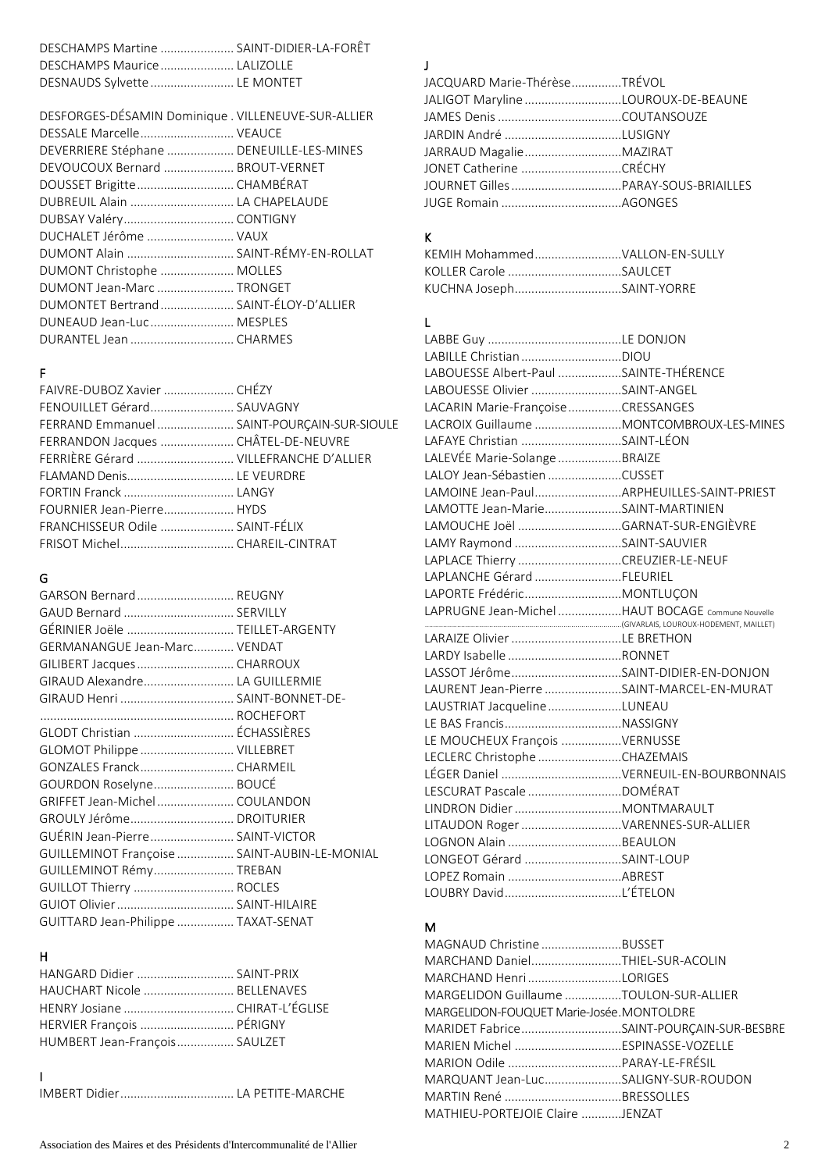| DESCHAMPS Martine  SAINT-DIDIER-LA-FORÊT |  |
|------------------------------------------|--|
| DESCHAMPS Maurice LALIZOLLE              |  |
| DESNAUDS Sylvette  LE MONTET             |  |

| DESFORGES-DÉSAMIN Dominique . VILLENEUVE-SUR-ALLIER |  |
|-----------------------------------------------------|--|
| DESSALE Marcelle VEAUCE                             |  |
| DEVERRIERE Stéphane  DENEUILLE-LES-MINES            |  |
| DEVOUCOUX Bernard  BROUT-VERNET                     |  |
| DOUSSET Brigitte CHAMBÉRAT                          |  |
| DUBREUIL Alain  LA CHAPELAUDE                       |  |
|                                                     |  |
| DUCHALET Jérôme  VAUX                               |  |
| DUMONT Alain  SAINT-RÉMY-EN-ROLLAT                  |  |
| DUMONT Christophe  MOLLES                           |  |
| DUMONT Jean-Marc  TRONGET                           |  |
| DUMONTET Bertrand SAINT-ÉLOY-D'ALLIER               |  |
| DUNEAUD Jean-Luc MESPLES                            |  |
|                                                     |  |

### F

| FAIVRE-DUBOZ Xavier  CHÉZY                 |  |
|--------------------------------------------|--|
| FENOUILLET Gérard SAUVAGNY                 |  |
| FERRAND Emmanuel SAINT-POURÇAIN-SUR-SIOULE |  |
| FERRANDON Jacques  CHÂTEL-DE-NEUVRE        |  |
| FERRIÈRE Gérard  VILLEFRANCHE D'ALLIER     |  |
| FLAMAND Denis LE VEURDRE                   |  |
|                                            |  |
| FOURNIER Jean-Pierre HYDS                  |  |
| FRANCHISSEUR Odile  SAINT-FÉLIX            |  |
|                                            |  |
|                                            |  |

## G

| GARSON Bernard REUGNY                        |  |
|----------------------------------------------|--|
| GAUD Bernard  SERVILLY                       |  |
| GÉRINIER Joële  TEILLET-ARGENTY              |  |
| GERMANANGUE Jean-Marc VENDAT                 |  |
| GILIBERT Jacques  CHARROUX                   |  |
| GIRAUD Alexandre LA GUILLERMIE               |  |
| GIRAUD Henri  SAINT-BONNET-DE-               |  |
|                                              |  |
| GLODT Christian  ÉCHASSIÈRES                 |  |
| GLOMOT Philippe  VILLEBRET                   |  |
|                                              |  |
| GOURDON Roselyne BOUCÉ                       |  |
| GRIFFET Jean-Michel COULANDON                |  |
|                                              |  |
| GUÉRIN Jean-Pierre SAINT-VICTOR              |  |
| GUILLEMINOT Françoise  SAINT-AUBIN-LE-MONIAL |  |
| GUILLEMINOT Rémy TREBAN                      |  |
| GUILLOT Thierry  ROCLES                      |  |
|                                              |  |
| GUITTARD Jean-Philippe  TAXAT-SENAT          |  |
|                                              |  |

## H

| HANGARD Didier  SAINT-PRIX     |  |
|--------------------------------|--|
| HAUCHART Nicole  BELLENAVES    |  |
| HENRY Josiane  CHIRAT-L'ÉGLISE |  |
| HERVIER François  PÉRIGNY      |  |
| HUMBERT Jean-François SAULZET  |  |
|                                |  |

## J

| JACQUARD Marie-ThérèseTRÉVOL       |  |
|------------------------------------|--|
| JALIGOT Maryline LOUROUX-DE-BEAUNE |  |
|                                    |  |
| JARDIN André LUSIGNY               |  |
| JARRAUD MagalieMAZIRAT             |  |
|                                    |  |
|                                    |  |
|                                    |  |
|                                    |  |

## K

| KEMIH MohammedVALLON-EN-SULLY |  |
|-------------------------------|--|
|                               |  |
| KUCHNA JosephSAINT-YORRE      |  |

# L

| LABOUESSE Albert-Paul SAINTE-THÉRENCE             |                                          |
|---------------------------------------------------|------------------------------------------|
| LABOUESSE Olivier SAINT-ANGEL                     |                                          |
| LACARIN Marie-Françoise CRESSANGES                |                                          |
|                                                   | LACROIX Guillaume MONTCOMBROUX-LES-MINES |
| LAFAYE Christian SAINT-LÉON                       |                                          |
| LALEVÉE Marie-Solange BRAIZE                      |                                          |
| LALOY Jean-Sébastien CUSSET                       |                                          |
| LAMOINE Jean-PaulARPHEUILLES-SAINT-PRIEST         |                                          |
| LAMOTTE Jean-MarieSAINT-MARTINIEN                 |                                          |
|                                                   |                                          |
| LAMY Raymond SAINT-SAUVIER                        |                                          |
| LAPLACE Thierry CREUZIER-LE-NEUF                  |                                          |
| LAPLANCHE Gérard FLEURIEL                         |                                          |
|                                                   |                                          |
| LAPRUGNE Jean-Michel HAUT BOCAGE Commune Nouvelle |                                          |
| LARAIZE Olivier LE BRETHON                        |                                          |
| LARDY Isabelle RONNET                             |                                          |
| LASSOT JérômeSAINT-DIDIER-EN-DONJON               |                                          |
| LAURENT Jean-Pierre SAINT-MARCEL-EN-MURAT         |                                          |
| LAUSTRIAT Jacqueline LUNEAU                       |                                          |
|                                                   |                                          |
| LE MOUCHEUX François VERNUSSE                     |                                          |
| LECLERC Christophe CHAZEMAIS                      |                                          |
|                                                   |                                          |
|                                                   |                                          |
|                                                   |                                          |
| LITAUDON Roger VARENNES-SUR-ALLIER                |                                          |
| LOGNON Alain BEAULON                              |                                          |
| LONGEOT Gérard SAINT-LOUP                         |                                          |
|                                                   |                                          |
|                                                   |                                          |

## M

| MAGNAUD ChristineBUSSET                  |  |
|------------------------------------------|--|
| MARCHAND DanielTHIEL-SUR-ACOLIN          |  |
|                                          |  |
| MARGELIDON Guillaume TOULON-SUR-ALLIER   |  |
| MARGELIDON-FOUQUET Marie-Josée.MONTOLDRE |  |
| MARIDET FabriceSAINT-POURÇAIN-SUR-BESBRE |  |
|                                          |  |
|                                          |  |
| MARQUANT Jean-LucSALIGNY-SUR-ROUDON      |  |
|                                          |  |
| MATHIEU-PORTEJOIE Claire JENZAT          |  |
|                                          |  |